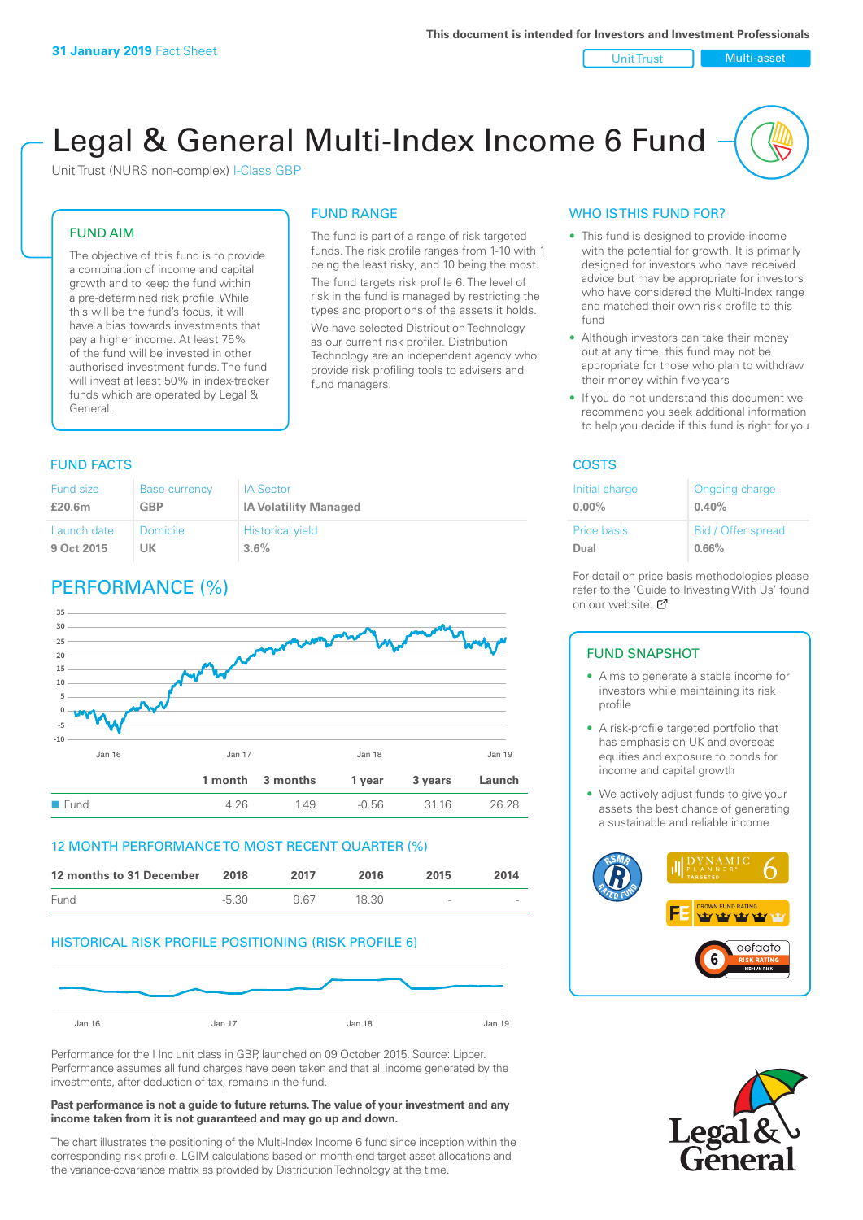Unit Trust Nulti-asset

# Legal & General Multi-Index Income 6 Fund

Unit Trust (NURS non-complex) I-Class GBP

#### FUND AIM

The objective of this fund is to provide a combination of income and capital growth and to keep the fund within a pre-determined risk profile. While this will be the fund's focus, it will have a bias towards investments that pay a higher income. At least 75% of the fund will be invested in other authorised investment funds. The fund will invest at least 50% in index-tracker funds which are operated by Legal & General.

#### The fund is part of a range of risk targeted

FUND RANGE

funds. The risk profile ranges from 1-10 with 1 being the least risky, and 10 being the most. The fund targets risk profile 6. The level of risk in the fund is managed by restricting the

types and proportions of the assets it holds. We have selected Distribution Technology as our current risk profiler. Distribution Technology are an independent agency who provide risk profiling tools to advisers and fund managers.

#### **FUND FACTS** COSTS

| Fund size   | <b>Base currency</b> | <b>IA Sector</b>             |
|-------------|----------------------|------------------------------|
| £20.6m      | <b>GBP</b>           | <b>IA Volatility Managed</b> |
| Launch date | Domicile             | <b>Historical yield</b>      |
| 9 Oct 2015  | UK                   | 3.6%                         |

# PERFORMANCE (%)



#### 12 MONTH PERFORMANCE TO MOST RECENT QUARTER (%)

| 12 months to 31 December | 2018  | 2017 | 2016  | 2015                     | 2014   |
|--------------------------|-------|------|-------|--------------------------|--------|
| Fund                     | -5.30 | 967  | 18.30 | $\overline{\phantom{a}}$ | $\sim$ |

#### HISTORICAL RISK PROFILE POSITIONING (RISK PROFILE 6)



Performance for the I Inc unit class in GBP, launched on 09 October 2015. Source: Lipper. Performance assumes all fund charges have been taken and that all income generated by the investments, after deduction of tax, remains in the fund.

#### **Past performance is not a guide to future returns. The value of your investment and any income taken from it is not guaranteed and may go up and down.**

The chart illustrates the positioning of the Multi-Index Income 6 fund since inception within the corresponding risk profile. LGIM calculations based on month-end target asset allocations and the variance-covariance matrix as provided by Distribution Technology at the time.

#### WHO IS THIS FUND FOR?

- This fund is designed to provide income with the potential for growth. It is primarily designed for investors who have received advice but may be appropriate for investors who have considered the Multi-Index range and matched their own risk profile to this fund
- Although investors can take their money out at any time, this fund may not be appropriate for those who plan to withdraw their money within five years
- If you do not understand this document we recommend you seek additional information to help you decide if this fund is right for you

| Initial charge | Ongoing charge     |
|----------------|--------------------|
| $0.00\%$       | 0.40%              |
| Price basis    | Bid / Offer spread |
| Dual           | 0.66%              |

For detail on price basis methodologies please refer to the 'Gu[ide t](http://www.legalandgeneral.com/guide)o Investing With Us' found on our website. Ø

#### FUND SNAPSHOT

- Aims to generate a stable income for investors while maintaining its risk profile
- A risk-profile targeted portfolio that has emphasis on UK and overseas equities and exposure to bonds for income and capital growth
- We actively adjust funds to give your assets the best chance of generating a sustainable and reliable income



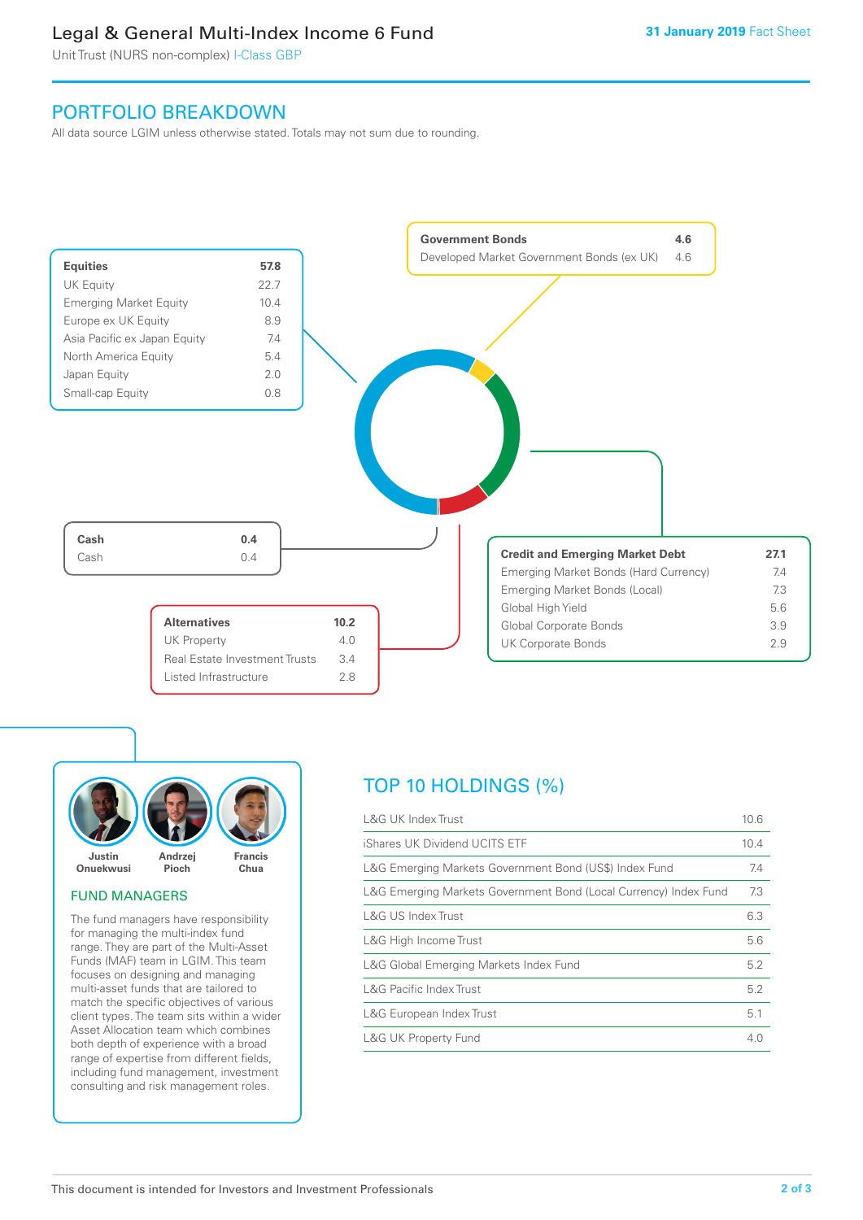# Legal & General Multi-Index Income 6 Fund

Unit Trust (NURS non-complex) I-Class GBP

# PORTFOLIO BREAKDOWN

All data source LGIM unless otherwise stated. Totals may not sum due to rounding.





#### FUND MANAGERS

The fund managers have responsibility for managing the multi-index fund range. They are part of the Multi-Asset Funds (MAF) team in LGIM. This team focuses on designing and managing multi-asset funds that are tailored to match the specific objectives of various client types. The team sits within a wider Asset Allocation team which combines both depth of experience with a broad range of expertise from different fields, including fund management, investment consulting and risk management roles.

# TOP 10 HOLDINGS (%)

| <b>L&amp;G UK Index Trust</b>                                    | 10.6 |
|------------------------------------------------------------------|------|
| iShares UK Dividend UCITS ETF                                    | 10.4 |
| L&G Emerging Markets Government Bond (US\$) Index Fund           | 7.4  |
| L&G Emerging Markets Government Bond (Local Currency) Index Fund | 7.3  |
| <b>L&amp;G US Index Trust</b>                                    | 6.3  |
| L&G High Income Trust                                            | 5.6  |
| L&G Global Emerging Markets Index Fund                           | 5.2  |
| <b>L&amp;G Pacific Index Trust</b>                               | 5.2  |
| L&G European Index Trust                                         | 5.1  |
| <b>L&amp;G UK Property Fund</b>                                  | 4.0  |